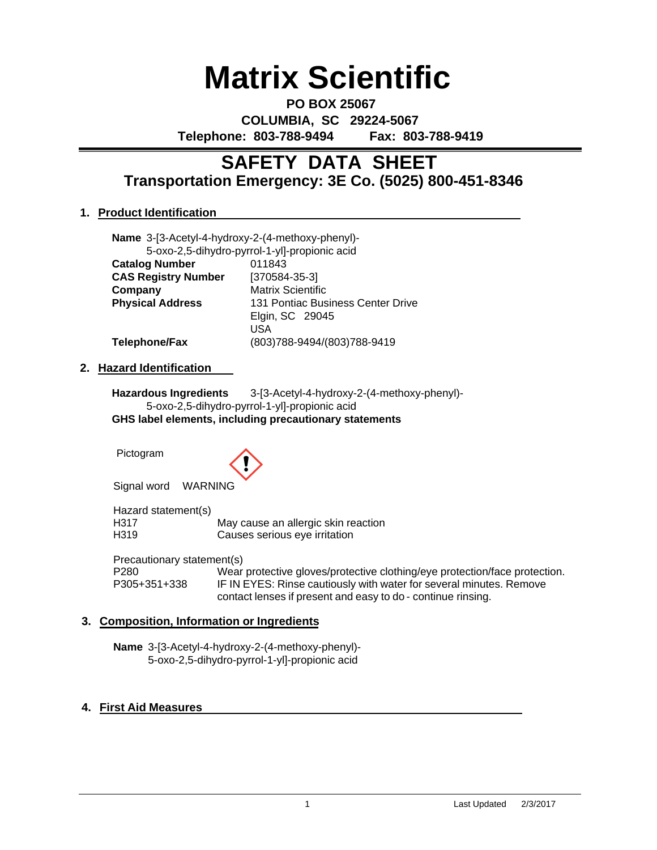# **Matrix Scientific**

**PO BOX 25067 COLUMBIA, SC 29224-5067 Telephone: 803-788-9494 Fax: 803-788-9419**

# **Transportation Emergency: 3E Co. (5025) 800-451-8346 SAFETY DATA SHEET**

# **1. Product Identification**

|                       | Name 3-[3-Acetyl-4-hydroxy-2-(4-methoxy-phenyl)- |        |  |
|-----------------------|--------------------------------------------------|--------|--|
|                       | 5-oxo-2,5-dihydro-pyrrol-1-yl]-propionic acid    |        |  |
| <b>Catalog Number</b> |                                                  | 011843 |  |

| <b>UGIQIUY INUIIINGI</b>   | <u>UILUTJ</u>                     |  |
|----------------------------|-----------------------------------|--|
| <b>CAS Registry Number</b> | $[370584-35-3]$                   |  |
| Company                    | <b>Matrix Scientific</b>          |  |
| <b>Physical Address</b>    | 131 Pontiac Business Center Drive |  |
|                            | Elgin, SC 29045                   |  |
|                            | USA                               |  |
| Telephone/Fax              | (803)788-9494/(803)788-9419       |  |
|                            |                                   |  |

### **2. Hazard Identification**

**Hazardous Ingredients** 3-[3-Acetyl-4-hydroxy-2-(4-methoxy-phenyl)- 5-oxo-2,5-dihydro-pyrrol-1-yl]-propionic acid **GHS label elements, including precautionary statements**

Pictogram



Signal word WARNING

Hazard statement(s) H317 May cause an allergic skin reaction<br>
H319 Causes serious eve irritation Causes serious eye irritation

Precautionary statement(s)

P280 Wear protective gloves/protective clothing/eye protection/face protection.<br>P305+351+338 IF IN EYES: Rinse cautiously with water for several minutes. Remove IF IN EYES: Rinse cautiously with water for several minutes. Remove contact lenses if present and easy to do - continue rinsing.

# **3. Composition, Information or Ingredients**

**Name** 3-[3-Acetyl-4-hydroxy-2-(4-methoxy-phenyl)- 5-oxo-2,5-dihydro-pyrrol-1-yl]-propionic acid

# **4. First Aid Measures**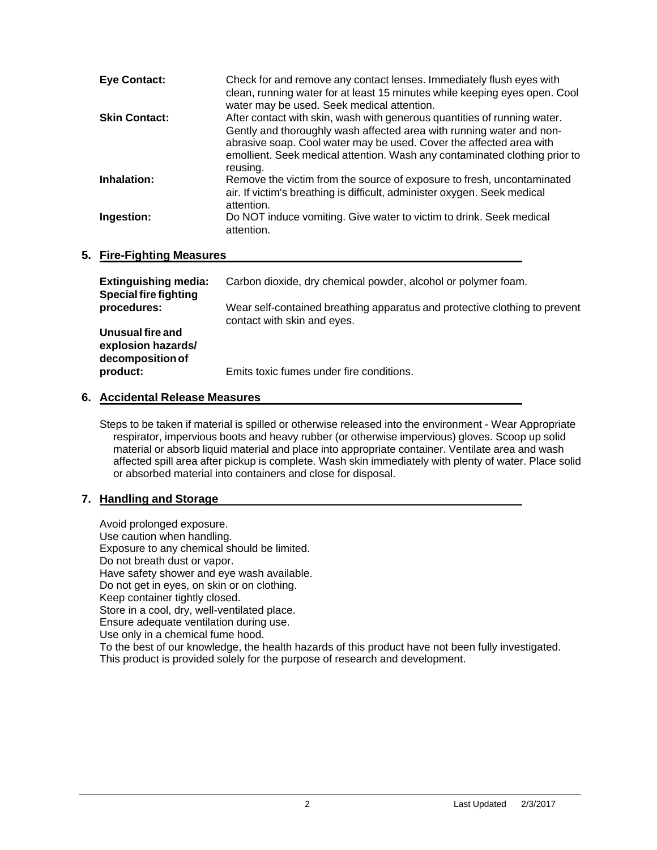| <b>Eye Contact:</b>  | Check for and remove any contact lenses. Immediately flush eyes with<br>clean, running water for at least 15 minutes while keeping eyes open. Cool<br>water may be used. Seek medical attention.                                                                                                                  |
|----------------------|-------------------------------------------------------------------------------------------------------------------------------------------------------------------------------------------------------------------------------------------------------------------------------------------------------------------|
| <b>Skin Contact:</b> | After contact with skin, wash with generous quantities of running water.<br>Gently and thoroughly wash affected area with running water and non-<br>abrasive soap. Cool water may be used. Cover the affected area with<br>emollient. Seek medical attention. Wash any contaminated clothing prior to<br>reusing. |
| Inhalation:          | Remove the victim from the source of exposure to fresh, uncontaminated<br>air. If victim's breathing is difficult, administer oxygen. Seek medical<br>attention.                                                                                                                                                  |
| Ingestion:           | Do NOT induce vomiting. Give water to victim to drink. Seek medical<br>attention.                                                                                                                                                                                                                                 |

### **5. Fire-Fighting Measures**

| <b>Extinguishing media:</b><br><b>Special fire fighting</b> | Carbon dioxide, dry chemical powder, alcohol or polymer foam.                                             |
|-------------------------------------------------------------|-----------------------------------------------------------------------------------------------------------|
| procedures:                                                 | Wear self-contained breathing apparatus and protective clothing to prevent<br>contact with skin and eyes. |
| Unusual fire and<br>explosion hazards/<br>decomposition of  |                                                                                                           |
| product:                                                    | Emits toxic fumes under fire conditions.                                                                  |

### **6. Accidental Release Measures**

Steps to be taken if material is spilled or otherwise released into the environment - Wear Appropriate respirator, impervious boots and heavy rubber (or otherwise impervious) gloves. Scoop up solid material or absorb liquid material and place into appropriate container. Ventilate area and wash affected spill area after pickup is complete. Wash skin immediately with plenty of water. Place solid or absorbed material into containers and close for disposal.

# **7. Handling and Storage**

Avoid prolonged exposure. Use caution when handling. Exposure to any chemical should be limited. Do not breath dust or vapor. Have safety shower and eye wash available. Do not get in eyes, on skin or on clothing. Keep container tightly closed. Store in a cool, dry, well-ventilated place. Ensure adequate ventilation during use. Use only in a chemical fume hood. To the best of our knowledge, the health hazards of this product have not been fully investigated. This product is provided solely for the purpose of research and development.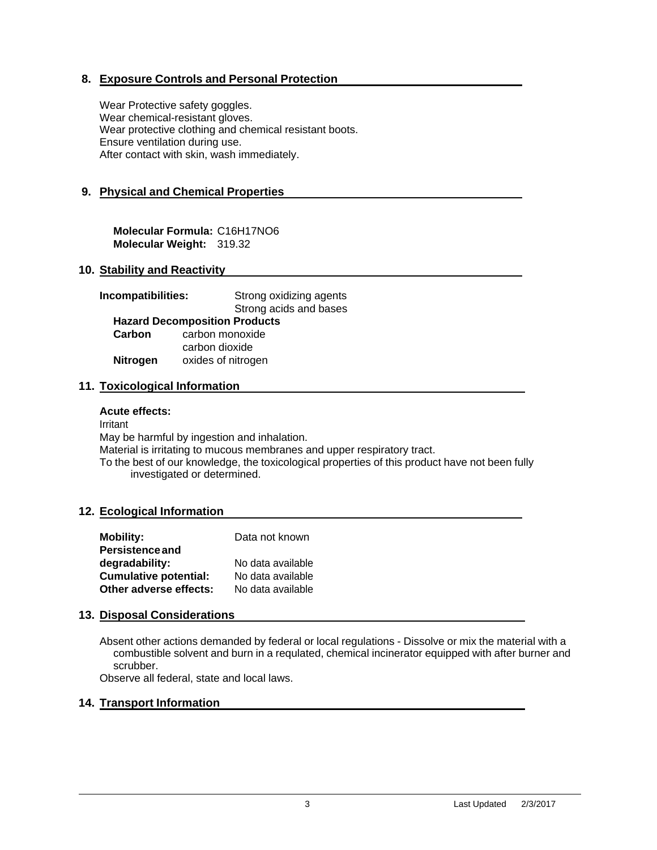# **8. Exposure Controls and Personal Protection**

Wear Protective safety goggles. Wear chemical-resistant gloves. Wear protective clothing and chemical resistant boots. Ensure ventilation during use. After contact with skin, wash immediately.

# **9. Physical and Chemical Properties**

**Molecular Formula:** C16H17NO6 **Molecular Weight:** 319.32

### **10. Stability and Reactivity**

| Incompatibilities: | Strong oxidizing agents              |  |
|--------------------|--------------------------------------|--|
|                    | Strong acids and bases               |  |
|                    | <b>Hazard Decomposition Products</b> |  |
| Carbon             | carbon monoxide                      |  |
|                    | carbon dioxide                       |  |
| <b>Nitrogen</b>    | oxides of nitrogen                   |  |

### **11. Toxicological Information**

#### **Acute effects:**

Irritant May be harmful by ingestion and inhalation. Material is irritating to mucous membranes and upper respiratory tract. To the best of our knowledge, the toxicological properties of this product have not been fully investigated or determined.

#### **12. Ecological Information**

| <b>Mobility:</b>             | Data not known    |
|------------------------------|-------------------|
| <b>Persistence and</b>       |                   |
| degradability:               | No data available |
| <b>Cumulative potential:</b> | No data available |
| Other adverse effects:       | No data available |

#### **13. Disposal Considerations**

Absent other actions demanded by federal or local regulations - Dissolve or mix the material with a combustible solvent and burn in a requlated, chemical incinerator equipped with after burner and scrubber.

Observe all federal, state and local laws.

#### **14. Transport Information**